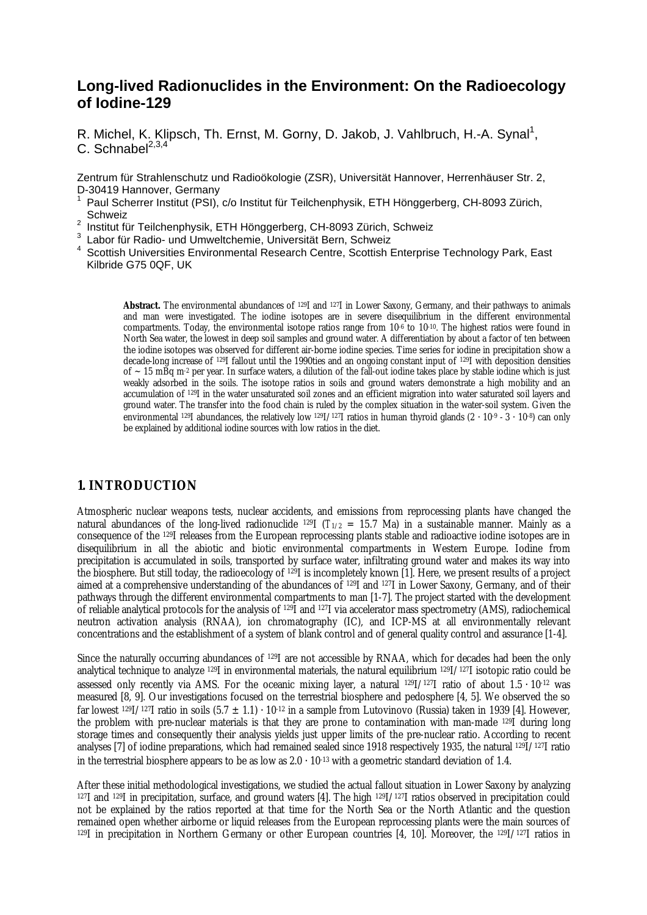# **Long-lived Radionuclides in the Environment: On the Radioecology of Iodine-129**

R. Michel, K. Klipsch, Th. Ernst, M. Gorny, D. Jakob, J. Vahlbruch, H.-A. Synal<sup>1</sup>, C. Schnabel $^{2,3,4}$ 

Zentrum für Strahlenschutz und Radioökologie (ZSR), Universität Hannover, Herrenhäuser Str. 2, D-30419 Hannover, Germany

- 1 Paul Scherrer Institut (PSI), c/o Institut für Teilchenphysik, ETH Hönggerberg, CH-8093 Zürich, **Schweiz**
- <sup>2</sup> Institut für Teilchenphysik, ETH Hönggerberg, CH-8093 Zürich, Schweiz<br><sup>3</sup> Laber für Radie, und Umweltsbemie, Universität Bern, Schweiz
- Labor für Radio- und Umweltchemie, Universität Bern, Schweiz
- 4 Scottish Universities Environmental Research Centre, Scottish Enterprise Technology Park, East Kilbride G75 0QF, UK

**Abstract.** The environmental abundances of 129I and 127I in Lower Saxony, Germany, and their pathways to animals and man were investigated. The iodine isotopes are in severe disequilibrium in the different environmental compartments. Today, the environmental isotope ratios range from  $10^{-6}$  to  $10^{-10}$ . The highest ratios were found in North Sea water, the lowest in deep soil samples and ground water. A differentiation by about a factor of ten between the iodine isotopes was observed for different air-borne iodine species. Time series for iodine in precipitation show a decade-long increase of 129I fallout until the 1990ties and an ongoing constant input of 129I with deposition densities of  $\sim$  15 mBq m<sup>-2</sup> per year. In surface waters, a dilution of the fall-out iodine takes place by stable iodine which is just weakly adsorbed in the soils. The isotope ratios in soils and ground waters demonstrate a high mobility and an accumulation of 129I in the water unsaturated soil zones and an efficient migration into water saturated soil layers and ground water. The transfer into the food chain is ruled by the complex situation in the water-soil system. Given the environmental <sup>129</sup>I abundances, the relatively low <sup>129</sup>I/<sup>127</sup>I ratios in human thyroid glands (2 ⋅ 10<sup>-9</sup> ⋅ 3 ⋅ 10<sup>-8</sup>) can only be explained by additional iodine sources with low ratios in the diet.

# **1. INTRODUCTION**

Atmospheric nuclear weapons tests, nuclear accidents, and emissions from reprocessing plants have changed the natural abundances of the long-lived radionuclide <sup>129</sup>I ( $T_{1/2}$  = 15.7 Ma) in a sustainable manner. Mainly as a consequence of the 129I releases from the European reprocessing plants stable and radioactive iodine isotopes are in disequilibrium in all the abiotic and biotic environmental compartments in Western Europe. Iodine from precipitation is accumulated in soils, transported by surface water, infiltrating ground water and makes its way into the biosphere. But still today, the radioecology of 129I is incompletely known [1]. Here, we present results of a project aimed at a comprehensive understanding of the abundances of <sup>129</sup>I and <sup>127</sup>I in Lower Saxony, Germany, and of their pathways through the different environmental compartments to man [1-7]. The project started with the development of reliable analytical protocols for the analysis of 129I and 127I via accelerator mass spectrometry (AMS), radiochemical neutron activation analysis (RNAA), ion chromatography (IC), and ICP-MS at all environmentally relevant concentrations and the establishment of a system of blank control and of general quality control and assurance [1-4].

Since the naturally occurring abundances of <sup>129</sup>I are not accessible by RNAA, which for decades had been the only analytical technique to analyze 129I in environmental materials, the natural equilibrium 129I/127I isotopic ratio could be assessed only recently via AMS. For the oceanic mixing layer, a natural <sup>129</sup>I/<sup>127</sup>I ratio of about 1.5 · 10<sup>-12</sup> was measured [8, 9]. Our investigations focused on the terrestrial biosphere and pedosphere [4, 5]. We observed the so far lowest <sup>129</sup>I/<sup>127</sup>I ratio in soils (5.7  $\pm$  1.1) · 10<sup>-12</sup> in a sample from Lutovinovo (Russia) taken in 1939 [4]. However, the problem with pre-nuclear materials is that they are prone to contamination with man-made 129I during long storage times and consequently their analysis yields just upper limits of the pre-nuclear ratio. According to recent analyses [7] of iodine preparations, which had remained sealed since 1918 respectively 1935, the natural <sup>129</sup>I/127I ratio in the terrestrial biosphere appears to be as low as  $2.0 \cdot 10^{-13}$  with a geometric standard deviation of 1.4.

After these initial methodological investigations, we studied the actual fallout situation in Lower Saxony by analyzing  $127$ I and  $129$ I in precipitation, surface, and ground waters [4]. The high  $129$ I/127I ratios observed in precipitation could not be explained by the ratios reported at that time for the North Sea or the North Atlantic and the question remained open whether airborne or liquid releases from the European reprocessing plants were the main sources of  $129I$  in precipitation in Northern Germany or other European countries [4, 10]. Moreover, the  $129I/127I$  ratios in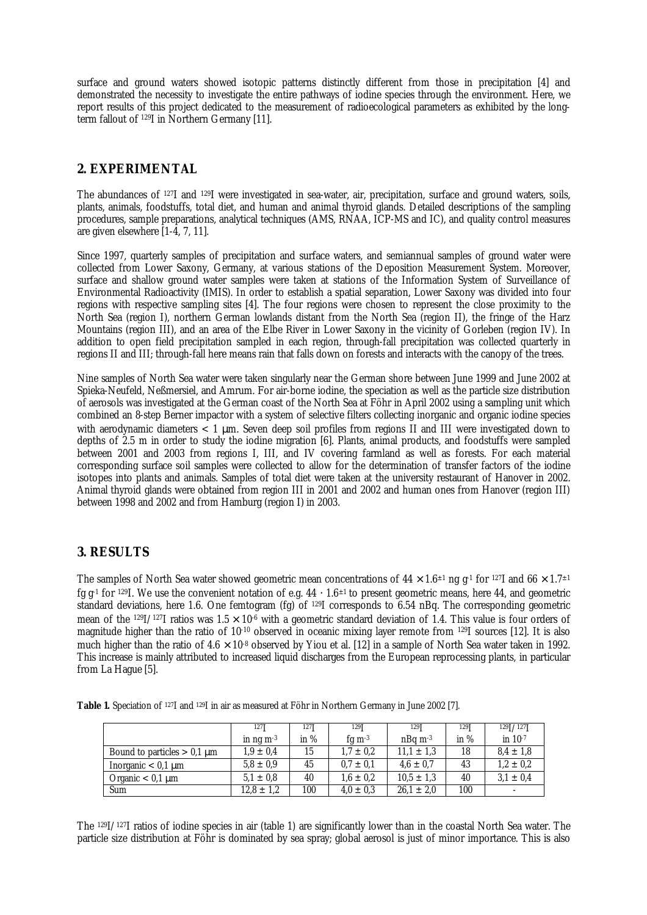surface and ground waters showed isotopic patterns distinctly different from those in precipitation [4] and demonstrated the necessity to investigate the entire pathways of iodine species through the environment. Here, we report results of this project dedicated to the measurement of radioecological parameters as exhibited by the longterm fallout of 129I in Northern Germany [11].

# **2. EXPERIMENTAL**

The abundances of <sup>127</sup>I and <sup>129</sup>I were investigated in sea-water, air, precipitation, surface and ground waters, soils, plants, animals, foodstuffs, total diet, and human and animal thyroid glands. Detailed descriptions of the sampling procedures, sample preparations, analytical techniques (AMS, RNAA, ICP-MS and IC), and quality control measures are given elsewhere [1-4, 7, 11].

Since 1997, quarterly samples of precipitation and surface waters, and semiannual samples of ground water were collected from Lower Saxony, Germany, at various stations of the Deposition Measurement System. Moreover, surface and shallow ground water samples were taken at stations of the Information System of Surveillance of Environmental Radioactivity (IMIS). In order to establish a spatial separation, Lower Saxony was divided into four regions with respective sampling sites [4]. The four regions were chosen to represent the close proximity to the North Sea (region I), northern German lowlands distant from the North Sea (region II), the fringe of the Harz Mountains (region III), and an area of the Elbe River in Lower Saxony in the vicinity of Gorleben (region IV). In addition to open field precipitation sampled in each region, through-fall precipitation was collected quarterly in regions II and III; through-fall here means rain that falls down on forests and interacts with the canopy of the trees.

Nine samples of North Sea water were taken singularly near the German shore between June 1999 and June 2002 at Spieka-Neufeld, Neßmersiel, and Amrum. For air-borne iodine, the speciation as well as the particle size distribution of aerosols was investigated at the German coast of the North Sea at Föhr in April 2002 using a sampling unit which combined an 8-step Berner impactor with a system of selective filters collecting inorganic and organic iodine species with aerodynamic diameters < 1 μm. Seven deep soil profiles from regions II and III were investigated down to depths of 2.5 m in order to study the iodine migration [6]. Plants, animal products, and foodstuffs were sampled between 2001 and 2003 from regions I, III, and IV covering farmland as well as forests. For each material corresponding surface soil samples were collected to allow for the determination of transfer factors of the iodine isotopes into plants and animals. Samples of total diet were taken at the university restaurant of Hanover in 2002. Animal thyroid glands were obtained from region III in 2001 and 2002 and human ones from Hanover (region III) between 1998 and 2002 and from Hamburg (region I) in 2003.

### **3. RESULTS**

The samples of North Sea water showed geometric mean concentrations of  $44 \times 1.6^{\pm 1}$  ng g<sup>-1</sup> for <sup>127</sup>I and  $66 \times 1.7^{\pm 1}$ fg g -1 for 129I. We use the convenient notation of e.g. 44 ⋅ 1.6±1 to present geometric means, here 44, and geometric standard deviations, here 1.6. One femtogram (fg) of <sup>129</sup>I corresponds to 6.54 nBq. The corresponding geometric mean of the <sup>129</sup>I/<sup>127</sup>I ratios was  $1.5 \times 10^{4}$  with a geometric standard deviation of 1.4. This value is four orders of magnitude higher than the ratio of 10-10 observed in oceanic mixing layer remote from <sup>129</sup>I sources [12]. It is also much higher than the ratio of 4.6  $\times$  10<sup>.8</sup> observed by Yiou et al. [12] in a sample of North Sea water taken in 1992. This increase is mainly attributed to increased liquid discharges from the European reprocessing plants, in particular from La Hague [5].

**Table 1.** Speciation of 127I and 129I in air as measured at Föhr in Northern Germany in June 2002 [7].

|                               | 127 <sup>T</sup>        | 127 <b>T</b> | 129 <b>T</b>  | $129$ <sup>T</sup> | 129 <b>T</b> | $129$ <sup><math>7127</math></sup> |
|-------------------------------|-------------------------|--------------|---------------|--------------------|--------------|------------------------------------|
|                               | in $nq$ m <sup>-3</sup> | in $%$       | fg $m-3$      | $nBa \, m^{-3}$    | in $%$       | in $10^{-7}$                       |
| Bound to particles $> 0.1$ µm | $1.9 \pm 0.4$           | 15           | $1.7 \pm 0.2$ | $11.1 \pm 1.3$     | 18           | $8.4 \pm 1.8$                      |
| Inorganic $< 0.1$ µm          | $5.8 \pm 0.9$           | 45           | $0.7 \pm 0.1$ | $4.6 \pm 0.7$      | 43           | $1.2 \pm 0.2$                      |
| Organic $< 0.1$ µm            | $5.1 \pm 0.8$           | 40           | $1.6 \pm 0.2$ | $10.5 \pm 1.3$     | 40           | $3.1 \pm 0.4$                      |
| Sum                           | $12.8 \pm 1.2$          | 100          | $4.0 \pm 0.3$ | $26.1 \pm 2.0$     | 100          | $\overline{\phantom{a}}$           |

The 129I/127I ratios of iodine species in air (table 1) are significantly lower than in the coastal North Sea water. The particle size distribution at Föhr is dominated by sea spray; global aerosol is just of minor importance. This is also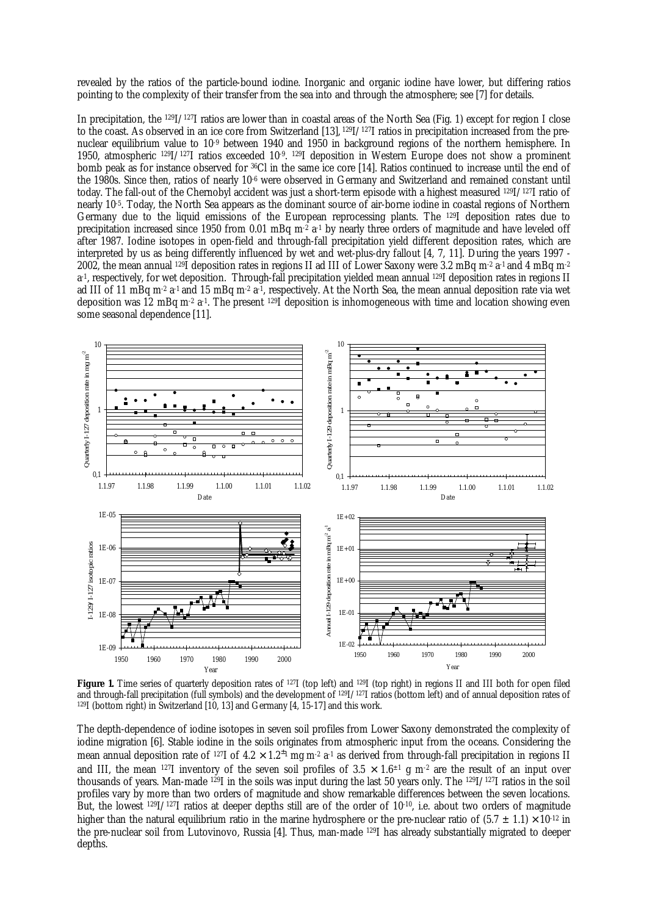revealed by the ratios of the particle-bound iodine. Inorganic and organic iodine have lower, but differing ratios pointing to the complexity of their transfer from the sea into and through the atmosphere; see [7] for details.

In precipitation, the 129I/127I ratios are lower than in coastal areas of the North Sea (Fig. 1) except for region I close to the coast. As observed in an ice core from Switzerland [13], 129I/127I ratios in precipitation increased from the prenuclear equilibrium value to 10-9 between 1940 and 1950 in background regions of the northern hemisphere. In 1950, atmospheric <sup>129</sup>I/127I ratios exceeded 10-9 . <sup>129</sup>I deposition in Western Europe does not show a prominent bomb peak as for instance observed for <sup>36</sup>Cl in the same ice core [14]. Ratios continued to increase until the end of the 1980s. Since then, ratios of nearly 10<sup>-6</sup> were observed in Germany and Switzerland and remained constant until today. The fall-out of the Chernobyl accident was just a short-term episode with a highest measured 129I/127I ratio of nearly 10-5 . Today, the North Sea appears as the dominant source of air-borne iodine in coastal regions of Northern Germany due to the liquid emissions of the European reprocessing plants. The 129I deposition rates due to precipitation increased since 1950 from 0.01 mBq m<sup>-2</sup> a<sup>-1</sup> by nearly three orders of magnitude and have leveled off after 1987. Iodine isotopes in open-field and through-fall precipitation yield different deposition rates, which are interpreted by us as being differently influenced by wet and wet-plus-dry fallout [4, 7, 11]. During the years 1997 - 2002, the mean annual  $^{129}$ I deposition rates in regions II ad III of Lower Saxony were 3.2 mBq m $^2$  a $^1$  and 4 mBq m $^2$ a -1 , respectively, for wet deposition. Through-fall precipitation yielded mean annual 129I deposition rates in regions II ad III of 11 mBq m<sup>-2</sup> a<sup>-1</sup> and 15 mBq m<sup>-2</sup> a<sup>-1</sup>, respectively. At the North Sea, the mean annual deposition rate via wet deposition was 12 mBq m<sup>-2</sup> a<sup>-1</sup>. The present <sup>129</sup>I deposition is inhomogeneous with time and location showing even some seasonal dependence [11].



**Figure 1.** Time series of quarterly deposition rates of <sup>127</sup>I (top left) and <sup>129</sup>I (top right) in regions II and III both for open filed and through-fall precipitation (full symbols) and the development of 129I/127I ratios (bottom left) and of annual deposition rates of <sup>129</sup>I (bottom right) in Switzerland [10, 13] and Germany [4, 15-17] and this work.

The depth-dependence of iodine isotopes in seven soil profiles from Lower Saxony demonstrated the complexity of iodine migration [6]. Stable iodine in the soils originates from atmospheric input from the oceans. Considering the mean annual deposition rate of 127I of 4.2  $\times$  1.2 $^{\pm_1}$  mg m-2 a-1 as derived from through-fall precipitation in regions II and III, the mean 127I inventory of the seven soil profiles of  $3.5 \times 1.6^{\pm 1}$  g m<sup>-2</sup> are the result of an input over thousands of years. Man-made 129I in the soils was input during the last 50 years only. The 129I/127I ratios in the soil profiles vary by more than two orders of magnitude and show remarkable differences between the seven locations. But, the lowest <sup>129</sup>I/127I ratios at deeper depths still are of the order of 10-10, i.e. about two orders of magnitude higher than the natural equilibrium ratio in the marine hydrosphere or the pre-nuclear ratio of  $(5.7 \pm 1.1) \times 10^{-12}$  in the pre-nuclear soil from Lutovinovo, Russia [4]. Thus, man-made 129I has already substantially migrated to deeper depths.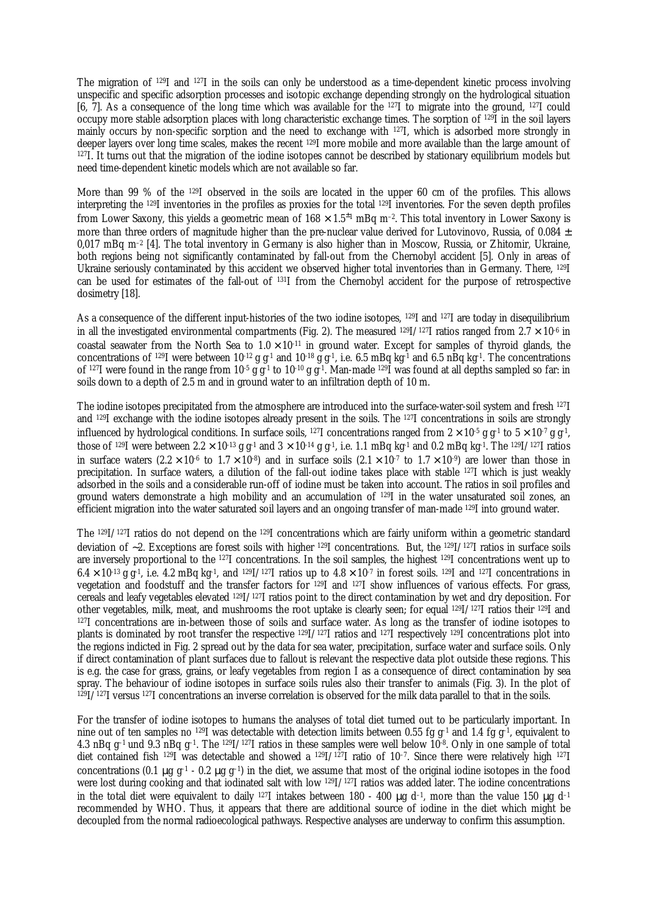The migration of <sup>129</sup>I and <sup>127</sup>I in the soils can only be understood as a time-dependent kinetic process involving unspecific and specific adsorption processes and isotopic exchange depending strongly on the hydrological situation [6, 7]. As a consequence of the long time which was available for the <sup>127</sup>I to migrate into the ground, <sup>127</sup>I could occupy more stable adsorption places with long characteristic exchange times. The sorption of <sup>129</sup>I in the soil layers mainly occurs by non-specific sorption and the need to exchange with <sup>127</sup>I, which is adsorbed more strongly in deeper layers over long time scales, makes the recent 129I more mobile and more available than the large amount of <sup>127</sup>I. It turns out that the migration of the iodine isotopes cannot be described by stationary equilibrium models but need time-dependent kinetic models which are not available so far.

More than 99 % of the <sup>129</sup>I observed in the soils are located in the upper 60 cm of the profiles. This allows interpreting the <sup>129</sup>I inventories in the profiles as proxies for the total <sup>129</sup>I inventories. For the seven depth profiles from Lower Saxony, this yields a geometric mean of  $168\times1.5^{\pm1}$  mBq m<sup>-2</sup>. This total inventory in Lower Saxony is more than three orders of magnitude higher than the pre-nuclear value derived for Lutovinovo, Russia, of  $0.084 \pm$ 0,017 mBq m–2 [4]. The total inventory in Germany is also higher than in Moscow, Russia, or Zhitomir, Ukraine, both regions being not significantly contaminated by fall-out from the Chernobyl accident [5]. Only in areas of Ukraine seriously contaminated by this accident we observed higher total inventories than in Germany. There, <sup>129</sup>I can be used for estimates of the fall-out of <sup>131</sup>I from the Chernobyl accident for the purpose of retrospective dosimetry [18].

As a consequence of the different input-histories of the two iodine isotopes, 129I and 127I are today in disequilibrium in all the investigated environmental compartments (Fig. 2). The measured  $^{129}I/^{127}I$  ratios ranged from 2.7  $\times$  10<sup>-6</sup> in coastal seawater from the North Sea to  $1.0 \times 10^{-11}$  in ground water. Except for samples of thyroid glands, the concentrations of <sup>129</sup>I were between  $10^{12}$  g g<sup>-1</sup> and  $10^{18}$  g g<sup>-1</sup>, i.e. 6.5 mBq kg<sup>-1</sup> and 6.5 nBq kg<sup>-1</sup>. The concentrations of <sup>127</sup>I were found in the range from  $10^{-5}$  g g<sup>-1</sup> to  $10^{-10}$  g g<sup>-1</sup>. Man-made <sup>129</sup>I was found at all depths sampled so far: in soils down to a depth of 2.5 m and in ground water to an infiltration depth of 10 m.

The iodine isotopes precipitated from the atmosphere are introduced into the surface-water-soil system and fresh <sup>127</sup>I and 129I exchange with the iodine isotopes already present in the soils. The 127I concentrations in soils are strongly influenced by hydrological conditions. In surface soils, <sup>127</sup>I concentrations ranged from  $2 \times 10^{-5}$  g g<sup>-1</sup> to  $5 \times 10^{-7}$  g g<sup>-1</sup>, those of <sup>129</sup>I were between  $2.2 \times 10^{-13}$  g g<sup>-1</sup> and  $3 \times 10^{-14}$  g g<sup>-1</sup>, i.e. 1.1 mBq kg<sup>-1</sup> and 0.2 mBq kg<sup>-1</sup>. The <sup>129</sup>I/<sup>127</sup>I ratios in surface waters  $(2.2 \times 10^{-6}$  to  $1.7 \times 10^{-8})$  and in surface soils  $(2.1 \times 10^{-7}$  to  $1.7 \times 10^{-9})$  are lower than those in precipitation. In surface waters, a dilution of the fall-out iodine takes place with stable <sup>127</sup>I which is just weakly adsorbed in the soils and a considerable run-off of iodine must be taken into account. The ratios in soil profiles and ground waters demonstrate a high mobility and an accumulation of <sup>129</sup>I in the water unsaturated soil zones, an efficient migration into the water saturated soil layers and an ongoing transfer of man-made 129I into ground water.

The  $129I/127I$  ratios do not depend on the  $129I$  concentrations which are fairly uniform within a geometric standard deviation of ∼2. Exceptions are forest soils with higher <sup>129</sup>I concentrations. But, the 129I/127I ratios in surface soils are inversely proportional to the <sup>127</sup>I concentrations. In the soil samples, the highest <sup>129</sup>I concentrations went up to  $6.4 \times 10^{-13}$  g g<sup>-1</sup>, i.e. 4.2 mBq kg<sup>-1</sup>, and <sup>129</sup>I/<sup>127</sup>I ratios up to  $4.8 \times 10^{-7}$  in forest soils. <sup>129</sup>I and <sup>127</sup>I concentrations in vegetation and foodstuff and the transfer factors for <sup>129</sup>I and <sup>127</sup>I show influences of various effects. For grass, cereals and leafy vegetables elevated 129I/127I ratios point to the direct contamination by wet and dry deposition. For other vegetables, milk, meat, and mushrooms the root uptake is clearly seen; for equal  $129I/127I$  ratios their  $129I$  and <sup>127</sup>I concentrations are in-between those of soils and surface water. As long as the transfer of iodine isotopes to plants is dominated by root transfer the respective <sup>129</sup>I/127I ratios and <sup>127</sup>I respectively <sup>129</sup>I concentrations plot into the regions indicted in Fig. 2 spread out by the data for sea water, precipitation, surface water and surface soils. Only if direct contamination of plant surfaces due to fallout is relevant the respective data plot outside these regions. This is e.g. the case for grass, grains, or leafy vegetables from region I as a consequence of direct contamination by sea spray. The behaviour of iodine isotopes in surface soils rules also their transfer to animals (Fig. 3). In the plot of  $129I/127I$  versus 127I concentrations an inverse correlation is observed for the milk data parallel to that in the soils.

For the transfer of iodine isotopes to humans the analyses of total diet turned out to be particularly important. In nine out of ten samples no  $^{129}I$  was detectable with detection limits between 0.55 fg g<sup>-1</sup> and 1.4 fg g<sup>-1</sup>, equivalent to 4.3 nBq g<sup>-1</sup> und 9.3 nBq g<sup>-1</sup>. The <sup>129</sup>I/<sup>127</sup>I ratios in these samples were well below 10<sup>-8</sup>. Only in one sample of total diet contained fish <sup>129</sup>I was detectable and showed a <sup>129</sup>I/127I ratio of 10–7 . Since there were relatively high <sup>127</sup>I concentrations (0.1 μg g<sup>-1</sup> - 0.2 μg g<sup>-1</sup>) in the diet, we assume that most of the original iodine isotopes in the food were lost during cooking and that iodinated salt with low <sup>129</sup>I/<sup>127</sup>I ratios was added later. The iodine concentrations in the total diet were equivalent to daily <sup>127</sup>I intakes between 180 - 400 μg d<sup>-1</sup>, more than the value 150 μg d<sup>-1</sup> recommended by WHO. Thus, it appears that there are additional source of iodine in the diet which might be decoupled from the normal radioecological pathways. Respective analyses are underway to confirm this assumption.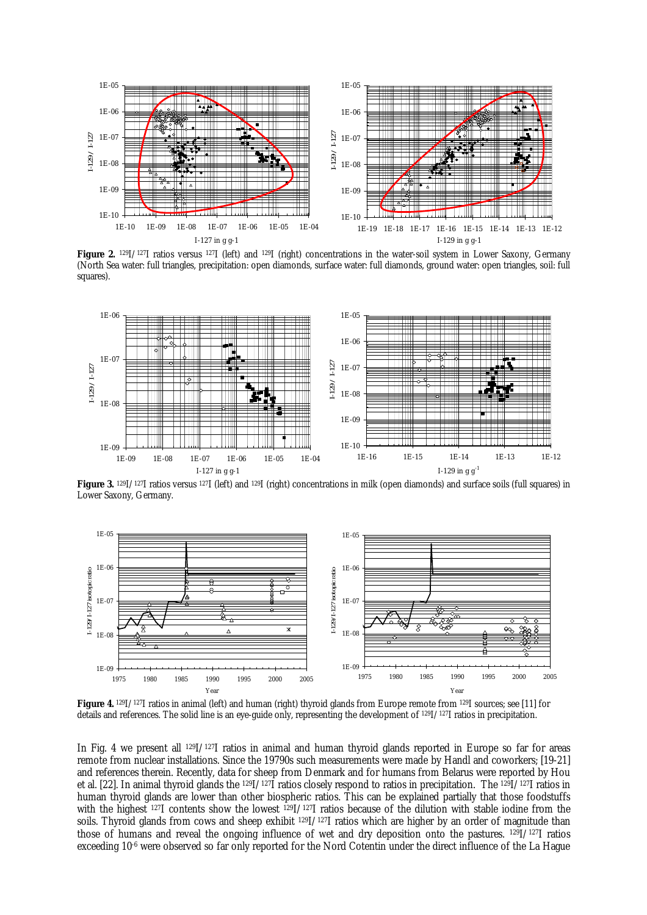

**Figure 2.** <sup>129</sup>I/127I ratios versus <sup>127</sup>I (left) and 129I (right) concentrations in the water-soil system in Lower Saxony, Germany (North Sea water: full triangles, precipitation: open diamonds, surface water: full diamonds, ground water: open triangles, soil: full squares).



**Figure 3.** <sup>129</sup>I/127I ratios versus 127I (left) and 129I (right) concentrations in milk (open diamonds) and surface soils (full squares) in Lower Saxony, Germany.



**Figure 4.** <sup>129</sup>I/127I ratios in animal (left) and human (right) thyroid glands from Europe remote from 129I sources; see [11] for details and references. The solid line is an eye-guide only, representing the development of 129I/127I ratios in precipitation.

In Fig. 4 we present all <sup>129</sup>I/<sup>127</sup>I ratios in animal and human thyroid glands reported in Europe so far for areas remote from nuclear installations. Since the 19790s such measurements were made by Handl and coworkers; [19-21] and references therein. Recently, data for sheep from Denmark and for humans from Belarus were reported by Hou et al. [22]. In animal thyroid glands the <sup>129</sup>I/<sup>127</sup>I ratios closely respond to ratios in precipitation. The <sup>129</sup>I/<sup>127</sup>I ratios in human thyroid glands are lower than other biospheric ratios. This can be explained partially that those foodstuffs with the highest <sup>127</sup>I contents show the lowest <sup>129</sup>I/<sup>127</sup>I ratios because of the dilution with stable iodine from the soils. Thyroid glands from cows and sheep exhibit <sup>129</sup>I/<sup>127</sup>I ratios which are higher by an order of magnitude than those of humans and reveal the ongoing influence of wet and dry deposition onto the pastures. <sup>129</sup>I/<sup>127</sup>I ratios exceeding 10<sup>-6</sup> were observed so far only reported for the Nord Cotentin under the direct influence of the La Hague